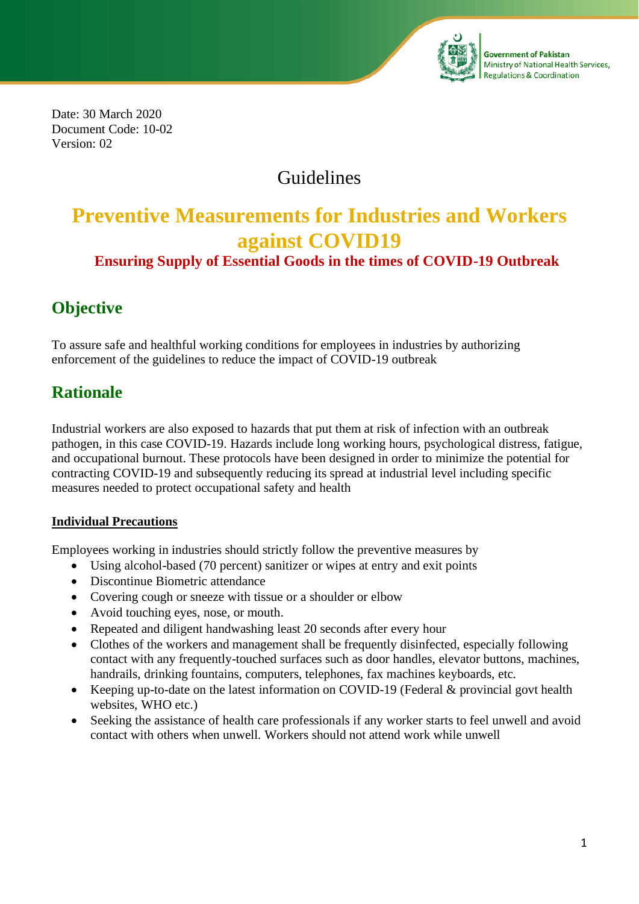

**Government of Pakistan** Ministry of National Health Services, **Regulations & Coordination** 

Date: 30 March 2020 Document Code: 10-02 Version: 02

## Guidelines

# **Preventive Measurements for Industries and Workers against COVID19**

### **Ensuring Supply of Essential Goods in the times of COVID-19 Outbreak**

## **Objective**

To assure safe and healthful working conditions for employees in industries by authorizing enforcement of the guidelines to reduce the impact of COVID-19 outbreak

## **Rationale**

Industrial workers are also exposed to hazards that put them at risk of infection with an outbreak pathogen, in this case COVID-19. Hazards include long working hours, psychological distress, fatigue, and occupational burnout. These protocols have been designed in order to minimize the potential for contracting COVID-19 and subsequently reducing its spread at industrial level including specific measures needed to protect occupational safety and health

#### **Individual Precautions**

Employees working in industries should strictly follow the preventive measures by

- Using alcohol-based (70 percent) sanitizer or wipes at entry and exit points
- Discontinue Biometric attendance
- Covering cough or sneeze with tissue or a shoulder or elbow
- Avoid touching eyes, nose, or mouth.
- Repeated and diligent handwashing least 20 seconds after every hour
- Clothes of the workers and management shall be frequently disinfected, especially following contact with any frequently-touched surfaces such as door handles, elevator buttons, machines, handrails, drinking fountains, computers, telephones, fax machines keyboards, etc.
- Keeping up-to-date on the latest information on COVID-19 (Federal & provincial govt health websites, WHO etc.)
- Seeking the assistance of health care professionals if any worker starts to feel unwell and avoid contact with others when unwell. Workers should not attend work while unwell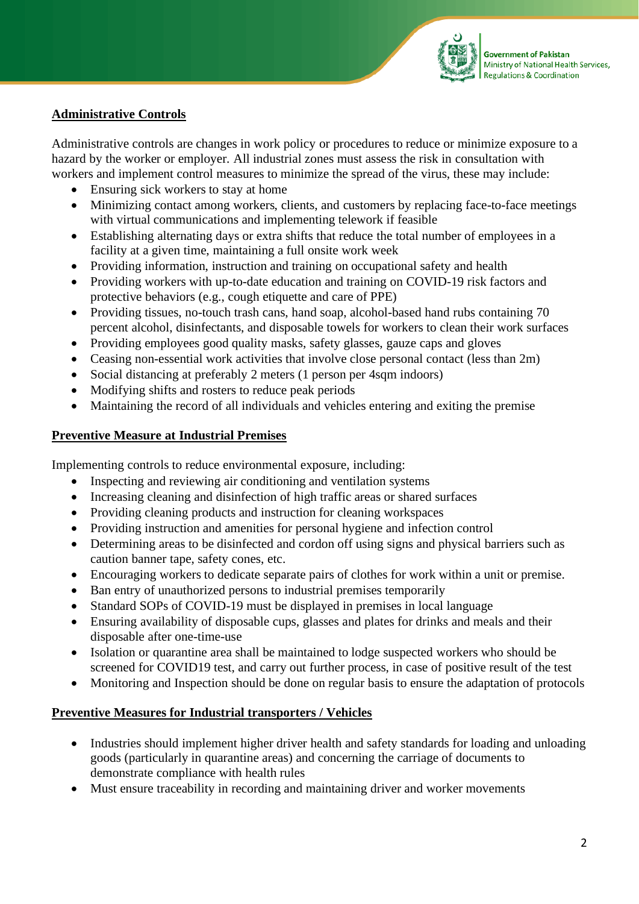

#### **Administrative Controls**

Administrative controls are changes in work policy or procedures to reduce or minimize exposure to a hazard by the worker or employer. All industrial zones must assess the risk in consultation with workers and implement control measures to minimize the spread of the virus, these may include:

- Ensuring sick workers to stay at home
- Minimizing contact among workers, clients, and customers by replacing face-to-face meetings with virtual communications and implementing telework if feasible
- Establishing alternating days or extra shifts that reduce the total number of employees in a facility at a given time, maintaining a full onsite work week
- Providing information, instruction and training on occupational safety and health
- Providing workers with up-to-date education and training on COVID-19 risk factors and protective behaviors (e.g., cough etiquette and care of PPE)
- Providing tissues, no-touch trash cans, hand soap, alcohol-based hand rubs containing 70 percent alcohol, disinfectants, and disposable towels for workers to clean their work surfaces
- Providing employees good quality masks, safety glasses, gauze caps and gloves
- Ceasing non-essential work activities that involve close personal contact (less than 2m)
- Social distancing at preferably 2 meters (1 person per 4sqm indoors)
- Modifying shifts and rosters to reduce peak periods
- Maintaining the record of all individuals and vehicles entering and exiting the premise

#### **Preventive Measure at Industrial Premises**

Implementing controls to reduce environmental exposure, including:

- Inspecting and reviewing air conditioning and ventilation systems
- Increasing cleaning and disinfection of high traffic areas or shared surfaces
- Providing cleaning products and instruction for cleaning workspaces
- Providing instruction and amenities for personal hygiene and infection control
- Determining areas to be disinfected and cordon off using signs and physical barriers such as caution banner tape, safety cones, etc.
- Encouraging workers to dedicate separate pairs of clothes for work within a unit or premise.
- Ban entry of unauthorized persons to industrial premises temporarily
- Standard SOPs of COVID-19 must be displayed in premises in local language
- Ensuring availability of disposable cups, glasses and plates for drinks and meals and their disposable after one-time-use
- Isolation or quarantine area shall be maintained to lodge suspected workers who should be screened for COVID19 test, and carry out further process, in case of positive result of the test
- Monitoring and Inspection should be done on regular basis to ensure the adaptation of protocols

#### **Preventive Measures for Industrial transporters / Vehicles**

- Industries should implement higher driver health and safety standards for loading and unloading goods (particularly in quarantine areas) and concerning the carriage of documents to demonstrate compliance with health rules
- Must ensure traceability in recording and maintaining driver and worker movements